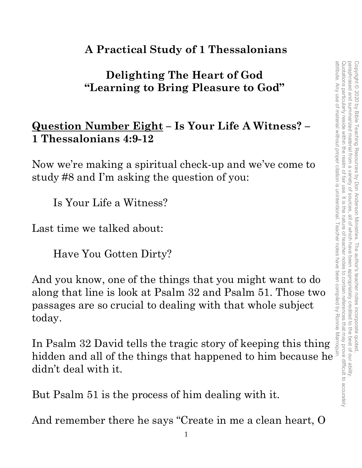### **A Practical Study of 1 Thessalonians**

## **Delighting The Heart of God "Learning to Bring Pleasure to God"**

### **Question Number Eight – Is Your Life A Witness? – 1 Thessalonians 4:9-12**

Now we're making a spiritual check-up and we've come to study #8 and I'm asking the question of you:

Is Your Life a Witness?

Last time we talked about:

Have You Gotten Dirty?

And you know, one of the things that you might want to do along that line is look at Psalm 32 and Psalm 51. Those two passages are so crucial to dealing with that whole subject today. Delighting The Heart of God<br>
"Learning to Bring Pleasure to God"<br>
1 Thessalonians 4:9-12<br>
Now we're making a spiritual check-up and we've come to<br>
study #8 and I'm asking the question of you:<br>
Is Your Life a Witness?<br>
Last

In Psalm 32 David tells the tragic story of keeping this thing didn't deal with it.

But Psalm 51 is the process of him dealing with it.

And remember there he says "Create in me a clean heart, O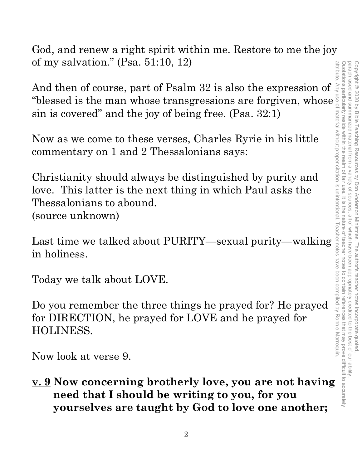attribute. Any use of material without proper citation is unintentional. Teacher notes have been compiled by Ronnie Marroquin.Quotations particularly reside within the realm of fair use. It is the nature of teacher notes to contain references that may prove difficult to accurately Quotations particularly reside within the realm of fair use. It is the nature of teacher notes to contain references that may prove difficult to accurately paraphrased and summarized material from paraphrased and summarized material from a variety of sources, all of which have been appropriately credited to the best of our ability. Copyright © 2020 by Bible Teaching Resources Copyright © 2020 by Bible Teaching Resources by Don Anderson Ministries. The author's teacher notes incorporate quoted, attribute  $\overline{\omega}$ variety of by Don Anderson Ministries. The author's teacher notes incorporate quoted appropriately credited to the best of our ability

God, and renew a right spirit within me. Restore to me the joy of my salvation." (Psa. 51:10, 12)

And then of course, part of Psalm 32 is also the expression of sin is covered" and the joy of being free. (Psa. 32:1)

Now as we come to these verses, Charles Ryrie in his little commentary on 1 and 2 Thessalonians says:

"blessed is the man whose transgressions are forgiven, whose<br>
sin is covered" and the joy of being free. (Psa. 32:1)<br>
Now as we come to these verses, Charles Ryrie in his little<br>
commentary on 1 and 2 Thessalonians says:<br> Christianity should always be distinguished by purity and love. This latter is the next thing in which Paul asks the Thessalonians to abound. (source unknown)

Last time we talked about PURITY—sexual purity—walking in holiness.

Today we talk about LOVE.

Do you remember the three things he prayed for? He prayed for DIRECTION, he prayed for LOVE and he prayed for HOLINESS.

Now look at verse 9.

**v. 9 Now concerning brotherly love, you are not having need that I should be writing to you, for you yourselves are taught by God to love one another;**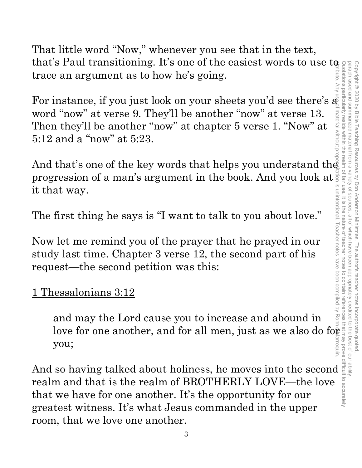That little word "Now," whenever you see that in the text, that's Paul transitioning. It's one of the easiest words to use to trace an argument as to how he's going.

For instance, if you just look on your sheets you'd see there's  $\tilde{\mathbf{a}}$ word "now" at verse 9. They'll be another "now" at verse 13. Then they'll be another "now" at chapter 5 verse 1. "Now" at 5:12 and a "now" at 5:23.

And that's one of the key words that helps you understand the progression of a man's argument in the book. And you look at it that way. attribute. Any use of material without proper citation is unintentional. Teacher notes have been compiled by Ronnie Marroquin.

The first thing he says is "I want to talk to you about love."

Now let me remind you of the prayer that he prayed in our study last time. Chapter 3 verse 12, the second part of his request—the second petition was this:

### 1 Thessalonians 3:12

and may the Lord cause you to increase and abound in love for one another, and for all men, just as we also do for  $\frac{1}{2}$ you;

And so having talked about holiness, he moves into the second  $\frac{2}{3}$ <br>realm and that is the realm of BROTHERLY LOVE—the love  $\frac{2}{3}$ <br>that we have for one another. It's the opportunity for our realm and that is the realm of BROTHERLY LOVE—the love that we have for one another. It's the opportunity for our greatest witness. It's what Jesus commanded in the upper room, that we love one another.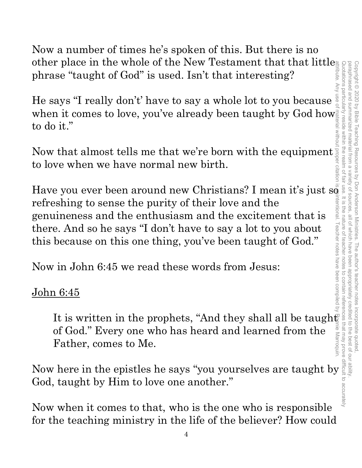Now a number of times he's spoken of this. But there is no other place in the whole of the New Testament that that little phrase "taught of God" is used. Isn't that interesting?

He says "I really don't' have to say a whole lot to you because when it comes to love, you've already been taught by God how to do it."

Now that almost tells me that we're born with the equipment to love when we have normal new birth.

Have you ever been around new Christians? I mean it's just so refreshing to sense the purity of their love and the genuineness and the enthusiasm and the excitement that is there. And so he says "I don't have to say a lot to you about this because on this one thing, you've been taught of God." other place in the whole of the New Testament that that little<br>phrase "taught of God" is used. Isn't that interesting?<br>He says "I really don't have to say a whole lot to you because<br>when it comes to love, you've already b attribute. Any use of material without proper citation is unintentional. Teacher notes have been compiled by Ronnie Marroquin.

Now in John 6:45 we read these words from Jesus:

### John 6:45

It is written in the prophets, "And they shall all be taught of God." Every one who has heard and learned from the Father, comes to Me.

God, taught by Him to love one another."

Now when it comes to that, who is the one who is responsible for the teaching ministry in the life of the believer? How could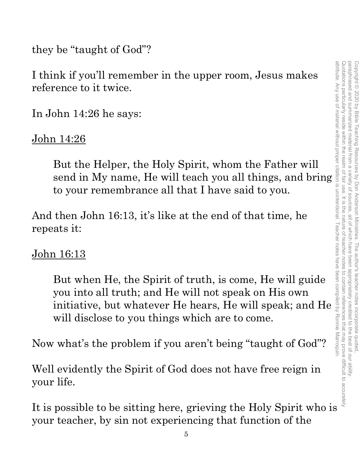they be "taught of God"?

I think if you'll remember in the upper room, Jesus makes reference to it twice.

In John 14:26 he says:

### John 14:26

But the Helper, the Holy Spirit, whom the Father will to your remembrance all that I have said to you.

And then John 16:13, it's like at the end of that time, he repeats it:

### John 16:13

send in the upper room, Jesus makes<br>
rence to it twice.<br>
Shown 14:26 he says:<br>
114:26<br>
But the Helper, the Holy Spirit, whom the Father will<br>
send in My name, He will teach you all things, and bring<br>
to your remembrance a But when He, the Spirit of truth, is come, He will guide you into all truth; and He will not speak on His own initiative, but whatever He hears, He will speak; and He will disclose to you things which are to come. I think if you'll remember in the upper room, Jesus makes<br>
reference to it twice.<br>
In John 14:26 he says:<br>  $\frac{1}{2}$ <br>  $\frac{1}{2}$ <br>  $\frac{1}{2}$ <br>  $\frac{1}{2}$ <br>  $\frac{1}{2}$ <br>  $\frac{1}{2}$ <br>  $\frac{1}{2}$ <br>  $\frac{1}{2}$ <br>  $\frac{1}{2}$ <br>  $\frac{1}{2}$ <br>  $\frac{$ 

Now what's the problem if you aren't being "taught of God"?

Well evidently the Spirit of God does not have free reign in your life.

your teacher, by sin not experiencing that function of the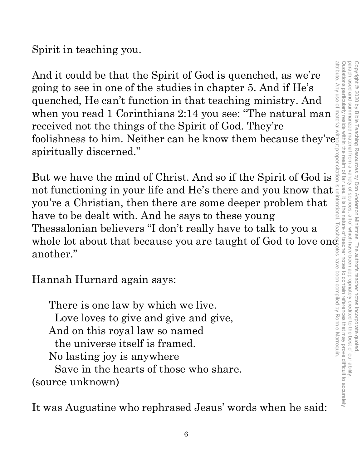Spirit in teaching you.

And it could be that the Spirit of God is quenched, as we're going to see in one of the studies in chapter 5. And if He's quenched, He can't function in that teaching ministry. And when you read 1 Corinthians 2:14 you see: "The natural man received not the things of the Spirit of God. They're foolishness to him. Neither can he know them because they're spiritually discerned."

But we have the mind of Christ. And so if the Spirit of God is not functioning in your life and He's there and you know that you're a Christian, then there are some deeper problem that have to be dealt with. And he says to these young Thessalonian believers "I don't really have to talk to you a whole lot about that because you are taught of God to love one another."

Hannah Hurnard again says:

There is one law by which we live. Love loves to give and give and give, And on this royal law so named the universe itself is framed. No lasting joy is anywhere Save in the hearts of those who share. (source unknown)

It was Augustine who rephrased Jesus' words when he said: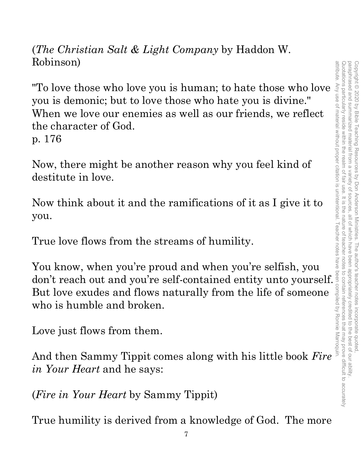(*The Christian Salt & Light Company* by Haddon W. Robinson)

"To love those who love you is human; to hate those who love you is demonic; but to love those who hate you is divine." When we love our enemies as well as our friends, we reflect the character of God.

p. 176

Now, there might be another reason why you feel kind of destitute in love.

Now think about it and the ramifications of it as I give it to you.

True love flows from the streams of humility.

You know, when you're proud and when you're selfish, you True love flows from the streams of humility.<br>
You know, when you're proud and when you're selfish, you<br>
don't reach out and you're self-contained entity unto yourself. But love exudes and flows naturally from the life of someone who is humble and broken.

Love just flows from them.

And then Sammy Tippit comes along with his little book *Fire in Your Heart* and he says:

(*Fire in Your Heart* by Sammy Tippit)

True humility is derived from a knowledge of God. The more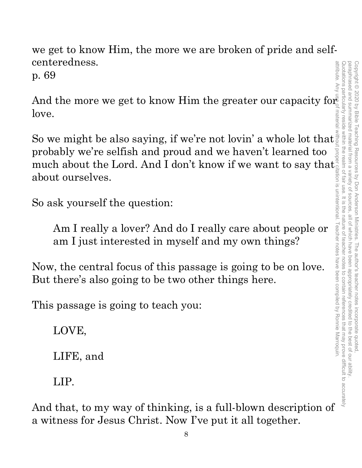we get to know Him, the more we are broken of pride and selfcenteredness.

p. 69

And the more we get to know Him the greater our capacity for love.

So we might be also saying, if we're not lovin' a whole lot that probably we're selfish and proud and we haven't learned too much about the Lord. And I don't know if we want to say that about ourselves.

So ask yourself the question:

Am I really a lover? And do I really care about people or am I just interested in myself and my own things?

Now, the central focus of this passage is going to be on love. But there's also going to be two other things here.

This passage is going to teach you:

LOVE,

LIFE, and

LIP.

And that, to my way of thinking, is a full-blown description of a witness for Jesus Christ. Now I've put it all together.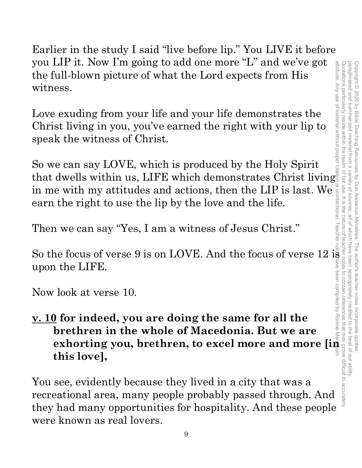Earlier in the study I said "live before lip." You LIVE it before you LIP it. Now I'm going to add one more "L" and we've got the full-blown picture of what the Lord expects from His witness.

Love exuding from your life and your life demonstrates the Christ living in you, you've earned the right with your lip to speak the witness of Christ.

So we can say LOVE, which is produced by the Holy Spirit that dwells within us, LIFE which demonstrates Christ living in me with my attitudes and actions, then the LIP is last. We earn the right to use the lip by the love and the life.

Then we can say "Yes, I am a witness of Jesus Christ."

So the focus of verse 9 is on LOVE. And the focus of verse  $12$  is upon the LIFE.

Now look at verse 10.

# **v. 10 for indeed, you are doing the same for all the brethren in the whole of Macedonia. But we are exhorting you, brethren, to excel more and more [in all the line of worse 12 is a set of the LIFE.**<br> **exhorting you, are doing the same for all the**<br> **brethren in the whole of Macedonia. But we are exhorting you, brethren this love],**

You see, evidently because they lived in a city that was a recreational area, many people probably passed through. And they had many opportunities for hospitality. And these people were known as real lovers.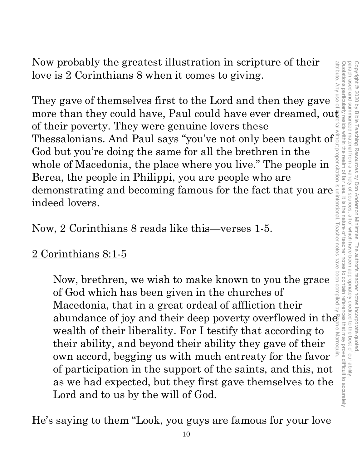Now probably the greatest illustration in scripture of their love is 2 Corinthians 8 when it comes to giving.

They gave of themselves first to the Lord and then they gave more than they could have, Paul could have ever dreamed, out of their poverty. They were genuine lovers these Thessalonians. And Paul says "you've not only been taught of God but you're doing the same for all the brethren in the whole of Macedonia, the place where you live." The people in Berea, the people in Philippi, you are people who are demonstrating and becoming famous for the fact that you are indeed lovers.

Now, 2 Corinthians 8 reads like this—verses 1-5.

2 Corinthians 8:1-5

Now, brethren, we wish to make known to you the grace of God which has been given in the churches of Macedonia, that in a great ordeal of affliction their abundance of joy and their deep poverty overflowed in the wealth of their liberality. For I testify that according to their ability, and beyond their ability they gave of their own accord, begging us with much entreaty for the favor of participation in the support of the saints, and this, not as we had expected, but they first gave themselves to the Lord and to us by the will of God.

He's saying to them "Look, you guys are famous for your love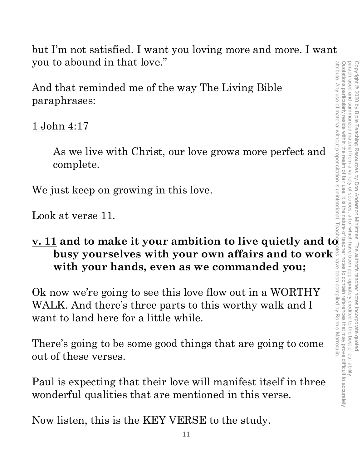but I'm not satisfied. I want you loving more and more. I want you to abound in that love."

And that reminded me of the way The Living Bible paraphrases:

### 1 John 4:17

As we live with Christ, our love grows more perfect and complete.

We just keep on growing in this love.

Look at verse 11.

# **you to abound in that love.**<br>
And that reminded me of the way The Living Bible<br>
paraphrases:<br>
<u>1 John 4:17</u><br>
As we live with Christ, our love grows more perfect and<br>
complete.<br>
We just keep on growing in this love.<br>
Look **with your hands, even as we commanded you;**

**busy yourselves with your own affairs and to work with your hands, even as we commanded you;**<br>with your hands, even as we commanded you;<br>how we're going to see this love flow out in a WORTHY<br>LK. And there's three parts to Ok now we're going to see this love flow out in a WORTHY WALK. And there's three parts to this worthy walk and I want to land here for a little while.

There's going to be some good things that are going to come out of these verses.

Paul is expecting that their love will manifest itself in three wonderful qualities that are mentioned in this verse.

Now listen, this is the KEY VERSE to the study.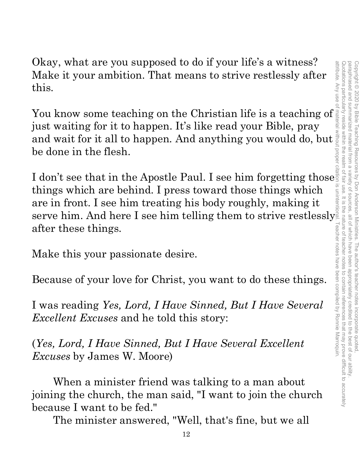Quotations particularly reside within the realm of fair use. It is the nature of teacher notes attribute. Any use of material without proper citation is unintentional. Teacher notes have been compiled by Ronnie Marroquin.Quotations particularly reside within the realm of fair use. It is the nature of teacher notes to contain references that may prove difficult to accurately paraphrased and summarized material from a paraphrased and summarized material from a variety of sources, all of which have been appropriately credited to the best of our ability. Copyright © 2020 by Bible Teaching Resources Copyright © 2020 by Bible Teaching Resources by Don Anderson Ministries. The author's teacher notes incorporate quoted, variety of by Don Anderson Ministries. The author's teacher notes incorporate quoted sources all of which have been appropriately credited to contain references that may prove difficult to accurately to the best of our ability

Okay, what are you supposed to do if your life's a witness? Make it your ambition. That means to strive restlessly after this. Okay, what are you supposed to do if your life s a witness?<br>
Make it your ambition. That means to strive restlessly after this.<br>
You know some teaching on the Christian life is a teaching of

just waiting for it to happen. It's like read your Bible, pray and wait for it all to happen. And anything you would do, but be done in the flesh.

I don't see that in the Apostle Paul. I see him forgetting those things which are behind. I press toward those things which are in front. I see him treating his body roughly, making it serve him. And here I see him telling them to strive restlessly after these things.

Make this your passionate desire.

Because of your love for Christ, you want to do these things.

I was reading *Yes, Lord, I Have Sinned, But I Have Several Excellent Excuses* and he told this story:

(*Yes, Lord, I Have Sinned, But I Have Several Excellent Excuses* by James W. Moore)

When a minister friend was talking to a man about joining the church, the man said, "I want to join the church because I want to be fed."

The minister answered, "Well, that's fine, but we all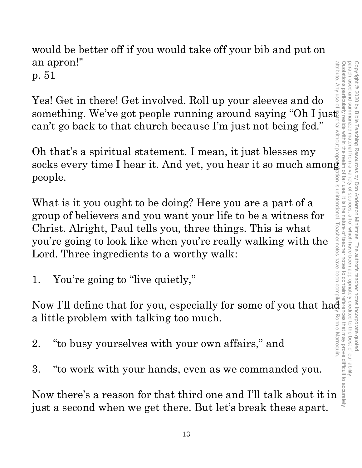would be better off if you would take off your bib and put on an apron!" p. 51

Yes! Get in there! Get involved. Roll up your sleeves and do something. We've got people running around saying "Oh I just can't go back to that church because I'm just not being fed."

Oh that's a spiritual statement. I mean, it just blesses my socks every time I hear it. And yet, you hear it so much among people.

What is it you ought to be doing? Here you are a part of a group of believers and you want your life to be a witness for Christ. Alright, Paul tells you, three things. This is what you're going to look like when you're really walking with the Lord. Three ingredients to a worthy walk:

1. You're going to "live quietly,"

Now I'll define that for you, especially for some of you that had a little problem with talking too much.

- 2. "to busy yourselves with your own affairs," and
- 3. "to work with your hands, even as we commanded you.

Now there's a reason for that third one and I'll talk about it in just a second when we get there. But let's break these apart.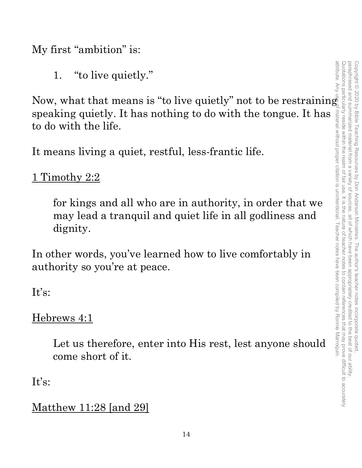My first "ambition" is:

1. "to live quietly."

Now, what that means is "to live quietly" not to be restraining speaking quietly. It has nothing to do with the tongue. It has to do with the life.

It means living a quiet, restful, less-frantic life.

1 Timothy 2:2

for kings and all who are in authority, in order that we may lead a tranquil and quiet life in all godliness and dignity.

In other words, you've learned how to live comfortably in authority so you're at peace.

It's:

Hebrews 4:1

Let us therefore, enter into His rest, lest anyone should come short of it.

It's:

Matthew 11:28 [and 29]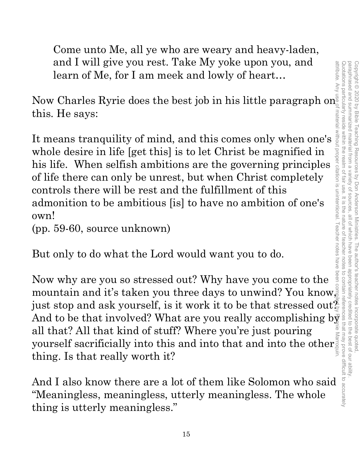Quotation spacification of teacher notation of the status of the status of teasing of teacher notes paraphrased and summarized material from a attribute. Any use of material without proper citation is unintentional. Teacher notes have been compiled by Ronnie Marroquin.Quotations particularly reside within the realm of fair use. It is the nature of teacher notes to contain references that may prove difficult to accurately paraphrased and summarized material from a variety of sources, all of which have been appropriately credited to the best of our ability. Copyright © 2020 by Bible Teaching Resources Copyright © 2020 by Bible Teaching Resources by Don Anderson Ministries. The author's teacher notes incorporate quoted, variety of sources by Don Anderson Ministries. all of Which have beer The author's teacher notes incorporate quoted appropriately credited to the best of our ability

Come unto Me, all ye who are weary and heavy-laden, and I will give you rest. Take My yoke upon you, and learn of Me, for I am meek and lowly of heart…

Now Charles Ryrie does the best job in his little paragraph on this. He says:

It means tranquility of mind, and this comes only when one's whole desire in life [get this] is to let Christ be magnified in his life. When selfish ambitions are the governing principles of life there can only be unrest, but when Christ completely controls there will be rest and the fulfillment of this admonition to be ambitious [is] to have no ambition of one's own!

(pp. 59-60, source unknown)

But only to do what the Lord would want you to do.

Now why are you so stressed out? Why have you come to the mountain and it's taken you three days to unwind? You know, just stop and ask yourself, is it work it to be that stressed out $\frac{\alpha}{\varepsilon}$ Now why are you so stressed out? Why have you come to the mountain and it's taken you three days to unwind? You know just stop and ask yourself, is it work it to be that stressed out $\frac{2}{3}$  and to be that involved? What all that? All that kind of stuff? Where you're just pouring yourself sacrificially into this and into that and into the other<br>thing. Is that really worth it? thing. Is that really worth it?

And I also know there are a lot of them like Solomon who said "Meaningless, meaningless, utterly meaningless. The whole thing is utterly meaningless."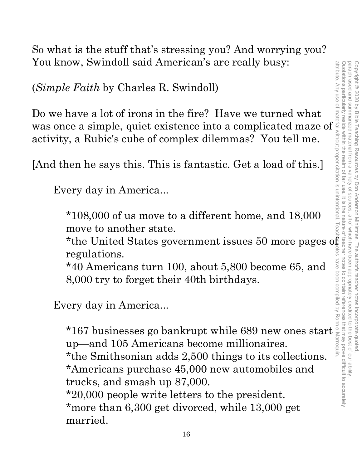paraphrased and summarized material from a attribute. Any use of material without proper citation is unintentional. Teacher notes have been compiled by Ronnie Marroquin.Quotations particularly reside within the realm of fair use. It is the nature of teacher notes to contain references that may prove difficult to accurately paraphrased and summarized material from a variety of sources, all of which have been appropriately credited to the best of our ability. Copyright © 2020 by Bible Teaching Resources Copyright © 2020 by Bible Teaching Resources by Don Anderson Ministries. The author's teacher notes incorporate quoted, variety of by Don Anderson Ministries. The author's teacher notes incorporate quoted all of which have been appropriately credited to the best of our ability

So what is the stuff that's stressing you? And worrying you? You know, Swindoll said American's are really busy:

(*Simple Faith* by Charles R. Swindoll)

Do we have a lot of irons in the fire? Have we turned what was once a simple, quiet existence into a complicated maze of activity, a Rubic's cube of complex dilemmas? You tell me.

[And then he says this. This is fantastic. Get a load of this.]

Every day in America...

\*108,000 of us move to a different home, and 18,000 move to another state.

\*the United States government issues 50 more pages of regulations.

\*40 Americans turn 100, about 5,800 become 65, and 8,000 try to forget their 40th birthdays.

Every day in America...

\*167 businesses go bankrupt while 689 new ones start up—and 105 Americans become millionaires. \*the Smithsonian adds 2,500 things to its collections. \*Americans purchase 45,000 new automobiles and trucks, and smash up 87,000. \*20,000 people write letters to the president. \*more than 6,300 get divorced, while 13,000 get

married.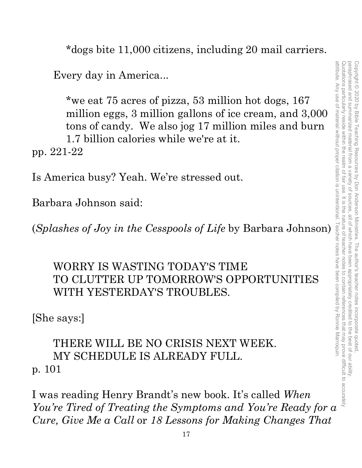\*dogs bite 11,000 citizens, including 20 mail carriers.

Every day in America...

\*we eat 75 acres of pizza, 53 million hot dogs, 167 million eggs, 3 million gallons of ice cream, and 3,000 tons of candy. We also jog 17 million miles and burn 1.7 billion calories while we're at it. pp. 221-22

Is America busy? Yeah. We're stressed out.

Barbara Johnson said:

(*Splashes of Joy in the Cesspools of Life* by Barbara Johnson)

### WORRY IS WASTING TODAY'S TIME TO CLUTTER UP TOMORROW'S OPPORTUNITIES WITH YESTERDAY'S TROUBLES.

[She says:]

### THERE WILL BE NO CRISIS NEXT WEEK. MY SCHEDULE IS ALREADY FULL. p. 101

I was reading Henry Brandt's new book. It's called *When You're Tired of Treating the Symptoms and You're Ready for a Cure, Give Me a Call* or *18 Lessons for Making Changes That*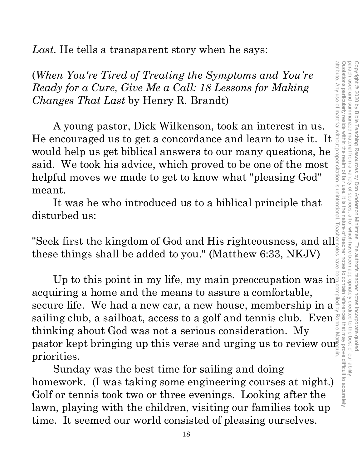Quotations particularly reside within the realm of fair use. It is the nature of teacher notes paraphrased and summarized material from a attribute. Any use of material without proper citation is unintentional. Teacher notes have been compiled by Ronnie Marroquin.Quotations particularly reside within the realm of fair use. It is the nature of teacher notes to contain references that may prove difficult to accurately paraphrased and summarized material from a variety of sources, all of which have been appropriately credited to the best of our ability. Copyright © 2020 by Bible Teaching Resources by Don Anderson Ministries. The author's teacher notes incorporate quoted Copyright © 2020 by Bible Teaching Resources by Don Anderson Ministries. The author's teacher notes incorporate quoted, proper citation is unintentional variety of sources all of Which have been appropriately credited to the best of our ability

*Last.* He tells a transparent story when he says:

(*When You're Tired of Treating the Symptoms and You're Ready for a Cure, Give Me a Call: 18 Lessons for Making Changes That Last* by Henry R. Brandt) (When You're Tired of Treating the Symptoms and You're<br>
Ready for a Cure, Give Me a Call: 18 Lessons for Making<br>
Changes That Last by Henry R. Brandt)<br>
A young pastor, Dick Wilkenson, took an interest in us.<br>
He encourage

A young pastor, Dick Wilkenson, took an interest in us. would help us get biblical answers to our many questions, he said. We took his advice, which proved to be one of the most helpful moves we made to get to know what "pleasing God" meant.

It was he who introduced us to a biblical principle that disturbed us:

"Seek first the kingdom of God and His righteousness, and all these things shall be added to you." (Matthew 6:33, NKJV)

Up to this point in my life, my main preoccupation was in acquiring a home and the means to assure a comfortable, secure life. We had a new car, a new house, membership in a sailing club, a sailboat, access to a golf and tennis club. Even  $\frac{1}{2}$ <br>thinking about God was not a somious consideration. My thinking about God was not a serious consideration. My Up to this point in my life, my main preoccupation was in<br>acquiring a home and the means to assure a comfortable,<br>secure life. We had a new car, a new house, membership in  $a_{\text{avg}}^{\frac{3}{2}}$ <br>sailing club, a sailboat, acces priorities.

Sunday was the best time for sailing and doing homework. (I was taking some engineering courses at night.) Golf or tennis took two or three evenings. Looking after the lawn, playing with the children, visiting our families took up time. It seemed our world consisted of pleasing ourselves.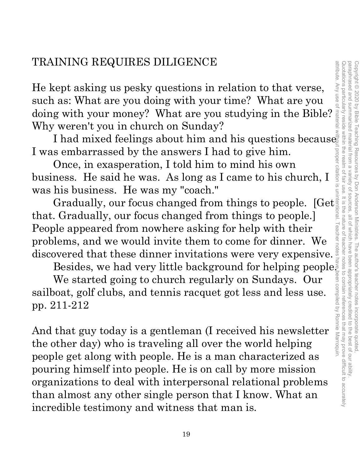He kept asking us pesky questions in relation to that verse, such as: What are you doing with your time? What are you doing with your money? What are you studying in the Bible? Why weren't you in church on Sunday?

I had mixed feelings about him and his questions because I was embarrassed by the answers I had to give him.

Once, in exasperation, I told him to mind his own business. He said he was. As long as I came to his church, I was his business. He was my "coach."

Gradually, our focus changed from things to people. [Get that. Gradually, our focus changed from things to people.] People appeared from nowhere asking for help with their problems, and we would invite them to come for dinner. We discovered that these dinner invitations were very expensive.

Besides, we had very little background for helping people.

We started going to church regularly on Sundays. Our sailboat, golf clubs, and tennis racquet got less and less use. pp. 211-212

And that guy today is a gentleman (I received his newsletter the other day) who is traveling all over the world helping people get along with people. He is a man characterized as pouring himself into people. He is on call by more mission organizations to deal with interpersonal relational problems than almost any other single person that I know. What an incredible testimony and witness that man is.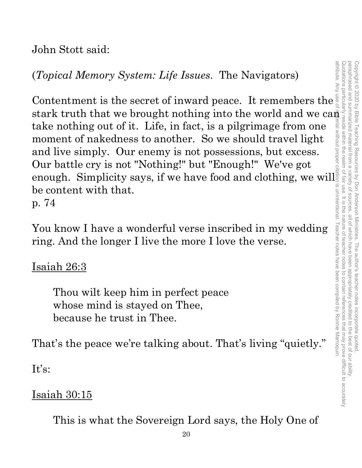John Stott said:

(*Topical Memory System: Life Issues*. The Navigators) (Topical Memory System: Life Issues. The Navigators)

stark truth that we brought nothing into the world and we can take nothing out of it. Life, in fact, is a pilgrimage from one moment of nakedness to another. So we should travel light and live simply. Our enemy is not possessions, but excess. Our battle cry is not "Nothing!" but "Enough!" We've got enough. Simplicity says, if we have food and clothing, we will be content with that. p. 74

You know I have a wonderful verse inscribed in my wedding ring. And the longer I live the more I love the verse.

### <u>Isaiah 26:3</u>

Thou wilt keep him in perfect peace whose mind is stayed on Thee, because he trust in Thee.

That's the peace we're talking about. That's living "quietly."

 $It's:$ 

### Isaiah 30:15

This is what the Sovereign Lord says, the Holy One of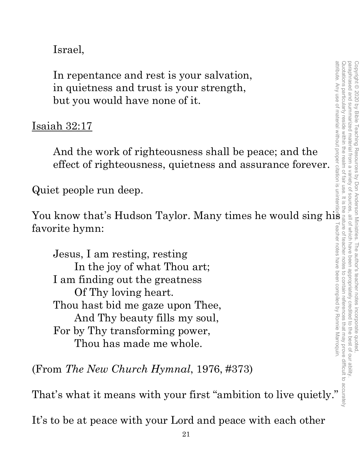Israel,

In repentance and rest is your salvation, in quietness and trust is your strength, but you would have none of it.

### Isaiah 32:17

And the work of righteousness shall be peace; and the effect of righteousness, quietness and assurance forever.

Quiet people run deep.

You know that's Hudson Taylor. Many times he would sing his favorite hymn:

Jesus, I am resting, resting In the joy of what Thou art; I am finding out the greatness Of Thy loving heart. Thou hast bid me gaze upon Thee, And Thy beauty fills my soul, For by Thy transforming power, Thou has made me whole.

(From *The New Church Hymnal*, 1976, #373)

That's what it means with your first "ambition to live quietly."

It's to be at peace with your Lord and peace with each other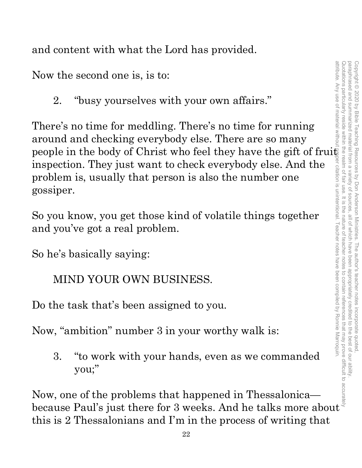and content with what the Lord has provided.

Now the second one is, is to:

2. "busy yourselves with your own affairs."

There's no time for meddling. There's no time for running around and checking everybody else. There are so many people in the body of Christ who feel they have the gift of fruit inspection. They just want to check everybody else. And the problem is, usually that person is also the number one gossiper. Now the second one is, is to:<br>
2. "busy yourselves with your own affairs."<br>
There's no time for meddling. There's no time for running<br>
around and checking everybody else. There are so many<br>
people in the body of Christ who

So you know, you get those kind of volatile things together and you've got a real problem.

So he's basically saying:

### MIND YOUR OWN BUSINESS.

Do the task that's been assigned to you.

Now, "ambition" number 3 in your worthy walk is:

3. "to work with your hands, even as we commanded you;"

Now, one of the problems that happened in Thessalonica this is 2 Thessalonians and I'm in the process of writing that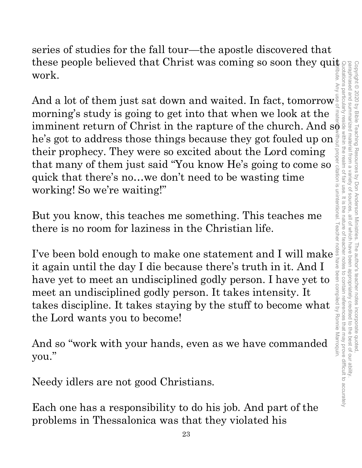attribute. Any use of material without proper citation is unintentional. Teacher notes have been compiled by Ronnie Marroquin.Quotations particularly reside within the realm of fair use. It is the nature of teacher notes to contain references that may prove difficult to accurately paraphrased and summarized material from a paraphrased and summarized material from a variety of sources, all of which have been appropriately credited to the best of our ability. Copyright © 2020 by Bible Teaching Resources by Don Anderson Ministries. The author's teacher notes incorporate quoted Copyright © 2020 by Bible Teaching Resources by Don Anderson Ministries. The author's teacher notes incorporate quoted, variety of all of which have been appropriately credited to the best of our ability

series of studies for the fall tour—the apostle discovered that these people believed that Christ was coming so soon they quite work.

And a lot of them just sat down and waited. In fact, tomorrow  $\frac{1}{c}$ morning's study is going to get into that when we look at the imminent return of Christ in the rapture of the church. And  $\mathbf{s}\bar{\mathbf{e}}$ he's got to address those things because they got fouled up on their prophecy. They were so excited about the Lord coming that many of them just said "You know He's going to come so quick that there's no…we don't need to be wasting time working! So we're waiting!"

But you know, this teaches me something. This teaches me there is no room for laziness in the Christian life.

their prophecy. They were so excited about the Lord coming<br>that many of them just said "You know He's going to come so<br>quick that there's no...we don't need to be wasting time<br>working! So we're waiting!"<br>But you know, thi it again until the day I die because there's truth in it. And I have yet to meet an undisciplined godly person. I have yet to meet an undisciplined godly person. It takes intensity. It takes discipline. It takes staying by the stuff to become what the Lord wants you to become!

And so "work with your hands, even as we have commanded you."

Needy idlers are not good Christians.

Each one has a responsibility to do his job. And part of the problems in Thessalonica was that they violated his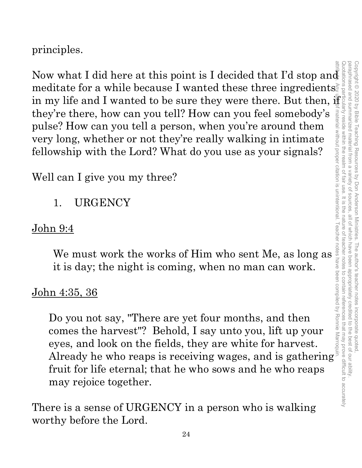principles.

Now what I did here at this point is I decided that I'd stop and<br>
in my life and I wanted to be sure they were there. But then, then<br>
they're there, how can you tell? How can you tell and<br>
pulse? How, can you tell an pers meditate for a while because I wanted these three ingredients. in my life and I wanted to be sure they were there. But then,  $\mathbb{F}$ they're there, how can you tell? How can you feel somebody's pulse? How can you tell a person, when you're around them very long, whether or not they're really walking in intimate fellowship with the Lord? What do you use as your signals? The value of Him who sent Me, as long as<br>
is a metally working work the must work the Lord? What do you use as your signals?<br>
is a minimate whip with the Lord? What do you use as your signals?<br>
is an I give you my three?<br> attribute. Any use of material without proper citation is unintentional. Teacher notes have been compiled by Ronnie Marroquin.

Well can I give you my three?

1. URGENCY

### John 9:4

it is day; the night is coming, when no man can work.

### John 4:35, 36

Do you not say, "There are yet four months, and then comes the harvest"? Behold, I say unto you, lift up your eyes, and look on the fields, they are white for harvest. Already he who reaps is receiving wages, and is gathering fruit for life eternal; that he who sows and he who reaps may rejoice together.

There is a sense of URGENCY in a person who is walking worthy before the Lord.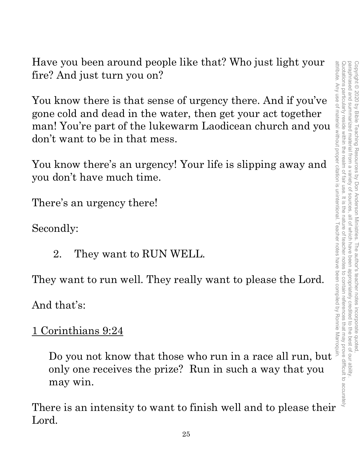Have you been around people like that? Who just light your fire? And just turn you on?

You know there is that sense of urgency there. And if you've gone cold and dead in the water, then get your act together man! You're part of the lukewarm Laodicean church and you don't want to be in that mess. We you been around people like that? Who just light your<br>  $\frac{1}{2}$ ? And just turn you on?<br>
a know there is that sense of urgency there. And if you've<br>
ecold and dead in the water, then get your act together<br>
it want to b

You know there's an urgency! Your life is slipping away and you don't have much time.

There's an urgency there!

Secondly:

2. They want to RUN WELL.

They want to run well. They really want to please the Lord.

And that's:

### 1 Corinthians 9:24

only one receives the prize? Run in such a way that you may win.

There is an intensity to want to finish well and to please their Lord.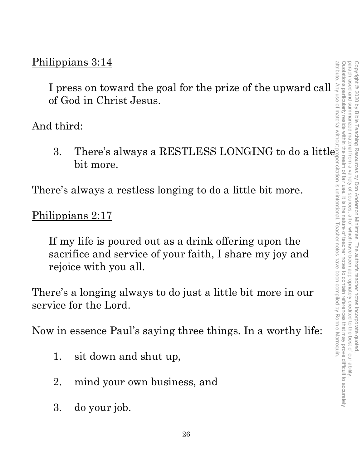### Philippians 3:14

I press on toward the goal for the prize of the upward call of God in Christ Jesus.

And third:

3. There's always a RESTLESS LONGING to do a little bit more.

There's always a restless longing to do a little bit more.

### Philippians 2:17

If my life is poured out as a drink offering upon the sacrifice and service of your faith, I share my joy and rejoice with you all.

There's a longing always to do just a little bit more in our service for the Lord.

Now in essence Paul's saying three things. In a worthy life:

- 1. sit down and shut up,
- 2. mind your own business, and
- 3. do your job.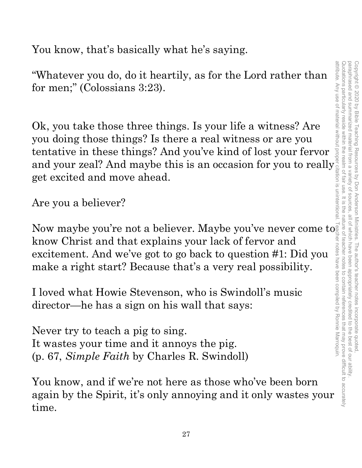Quotations particularly reside within the realm of fair use. It is the nature of teacher notes to contain references that may prove difficult to accurately paraphrased and summarized material from a variety of sources attribute. Any use of material without proper citation is unintentional. Teacher notes have been compiled by Ronnie Marroquin.Quotations particularly reside within the realm of fair use. It is the nature of teacher notes to contain references that may prove difficult to accurately paraphrased and summarized material from a variety of sources, all of which have been appropriately credited to the best of our ability. Copyright © 2020 by Bible Teaching Resources by Don Anderson Ministries. The author's teacher notes incorporate quoted Copyright © 2020 by Bible Teaching Resources by Don Anderson Ministries. The author's teacher notes incorporate quoted, all of which have been appropriately credited to the best of our ability

You know, that's basically what he's saying.

"Whatever you do, do it heartily, as for the Lord rather than for men;" (Colossians 3:23).

Ok, you take those three things. Is your life a witness? Are you doing those things? Is there a real witness or are you tentative in these things? And you've kind of lost your fervor and your zeal? And maybe this is an occasion for you to really get excited and move ahead.

Are you a believer?

Now maybe you're not a believer. Maybe you've never come to know Christ and that explains your lack of fervor and excitement. And we've got to go back to question #1: Did you make a right start? Because that's a very real possibility.

I loved what Howie Stevenson, who is Swindoll's music director—he has a sign on his wall that says:

Never try to teach a pig to sing. It wastes your time and it annoys the pig. (p. 67, *Simple Faith* by Charles R. Swindoll)

You know, and if we're not here as those who've been born again by the Spirit, it's only annoying and it only wastes your time.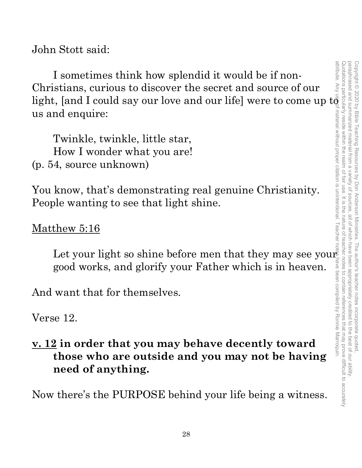John Stott said:

I sometimes think how splendid it would be if non-Christians, curious to discover the secret and source of our light, [and I could say our love and our life] were to come up  $\mathrm{t} \bar{\mathfrak{g}}$ us and enquire:

Twinkle, twinkle, little star, How I wonder what you are! (p. 54, source unknown)

You know, that's demonstrating real genuine Christianity. People wanting to see that light shine.

Matthew 5:16

Let your light so shine before men that they may see your  $\vec{s}$ good works, and glorify your Father which is in heaven.

And want that for themselves.

Verse 12.

### **v. 12 in order that you may behave decently toward those who are outside and you may not be having need of anything.**

Now there's the PURPOSE behind your life being a witness.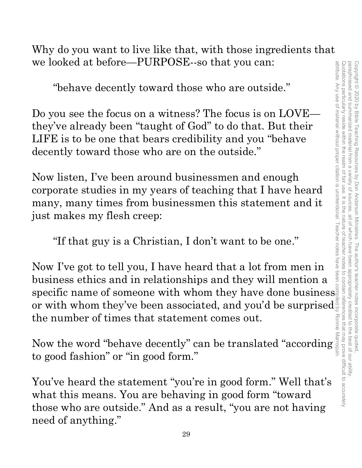Why do you want to live like that, with those ingredients that we looked at before—PURPOSE--so that you can:

"behave decently toward those who are outside."

Do you see the focus on a witness? The focus is on LOVE they've already been "taught of God" to do that. But their LIFE is to be one that bears credibility and you "behave decently toward those who are on the outside."

Now listen, I've been around businessmen and enough corporate studies in my years of teaching that I have heard many, many times from businessmen this statement and it just makes my flesh creep:

"If that guy is a Christian, I don't want to be one."

Now I've got to tell you, I have heard that a lot from men in business ethics and in relationships and they will mention a specific name of someone with whom they have done business or with whom they've been associated, and you'd be surprised $\frac{1}{5}$ the number of times that statement comes out.

Now the word "behave decently" can be translated "according" to good fashion" or "in good form."

You've heard the statement "you're in good form." Well that's what this means. You are behaving in good form "toward those who are outside." And as a result, "you are not having need of anything."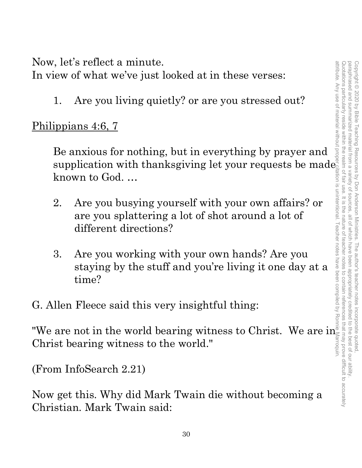Now, let's reflect a minute.

In view of what we've just looked at in these verses:

1. Are you living quietly? or are you stressed out?

Philippians 4:6, 7

Be anxious for nothing, but in everything by prayer and supplication with thanksgiving let your requests be made  $_2^{\circ}$ known to God. …

- 2. Are you busying yourself with your own affairs? or are you splattering a lot of shot around a lot of different directions?
- 3. Are you working with your own hands? Are you staying by the stuff and you're living it one day at a time?

G. Allen Fleece said this very insightful thing:

"We are not in the world bearing witness to Christ. We are in Christ bearing witness to the world."

(From InfoSearch 2.21)

Now get this. Why did Mark Twain die without becoming a Christian. Mark Twain said: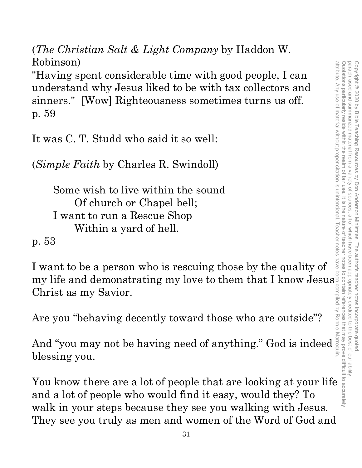(*The Christian Salt & Light Company* by Haddon W. Robinson)

"Having spent considerable time with good people, I can understand why Jesus liked to be with tax collectors and sinners." [Wow] Righteousness sometimes turns us off. p. 59 Xoomson)<br>
"Having spent considerable time with good people, I can<br>
understand why Jesus liked to be with tax collectors and<br>
sinners." [Wow] Righteousness sometimes turns us off.<br>
p. 59<br>
It was C. T. Studd who said it so w

It was C. T. Studd who said it so well:

(*Simple Faith* by Charles R. Swindoll)

Some wish to live within the sound Of church or Chapel bell; I want to run a Rescue Shop Within a yard of hell.

p. 53

I want to be a person who is rescuing those by the quality of my life and demonstrating my love to them that I know Jesus Christ as my Savior.

Are you "behaving decently toward those who are outside"?

And "you may not be having need of anything." God is indeed blessing you.

and a lot of people who would find it easy, would they? To walk in your steps because they see you walking with Jesus. They see you truly as men and women of the Word of God and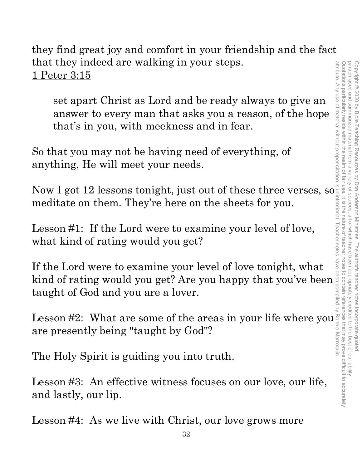Quotations particularly reside within the realm of fair use. It is the nature of teacher notes to contain references that may prove difficult to accurately paraphrased and summarized material from a attribute. Any use of material without proper citation is unintentional. Teacher notes have been compiled by Ronnie Marroquin.Quotations particularly reside within the realm of fair use. It is the nature of teacher notes to contain references that may prove difficult to accurately paraphrased and summarized material from a variety of sources, all of which have been appropriately credited to the best of our ability. Copyright © 2020 by Bible Teaching Resources Copyright © 2020 by Bible Teaching Resources by Don Anderson Ministries. The author's teacher notes incorporate quoted, variety of sources by Don Anderson Ministries. The author's teacher notes incorporate quoted all of Which have beer appropriately credited to the best of our ability

they find great joy and comfort in your friendship and the fact that they indeed are walking in your steps. 1 Peter 3:15

set apart Christ as Lord and be ready always to give an answer to every man that asks you a reason, of the hope that's in you, with meekness and in fear.

So that you may not be having need of everything, of anything, He will meet your needs.

Now I got 12 lessons tonight, just out of these three verses, so meditate on them. They're here on the sheets for you.

Lesson #1: If the Lord were to examine your level of love, what kind of rating would you get?

If the Lord were to examine your level of love tonight, what kind of rating would you get? Are you happy that you've been taught of God and you are a lover.

Lesson #2: What are some of the areas in your life where you are presently being "taught by God"?

The Holy Spirit is guiding you into truth.

Lesson #3: An effective witness focuses on our love, our life, and lastly, our lip.

Lesson #4: As we live with Christ, our love grows more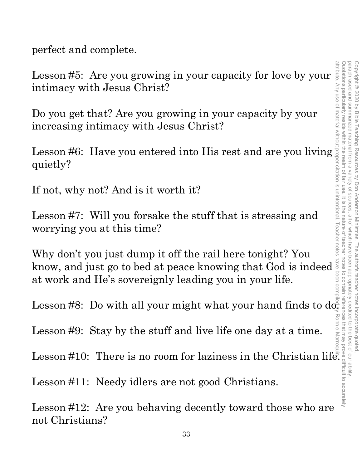perfect and complete.

Lesson #5: Are you growing in your capacity for love by your intimacy with Jesus Christ?

Do you get that? Are you growing in your capacity by your increasing intimacy with Jesus Christ?

Lesson #6: Have you entered into His rest and are you living quietly?

If not, why not? And is it worth it?

Lesson #7: Will you forsake the stuff that is stressing and worrying you at this time?

Why don't you just dump it off the rail here tonight? You know, and just go to bed at peace knowing that God is indeed at work and He's sovereignly leading you in your life.

Lesson #8: Do with all your might what your hand finds to  $\text{d}\sigma$ 

Lesson #9: Stay by the stuff and live life one day at a time.

Lesson #10: There is no room for laziness in the Christian life.

Lesson #11: Needy idlers are not good Christians.

Lesson #12: Are you behaving decently toward those who are not Christians?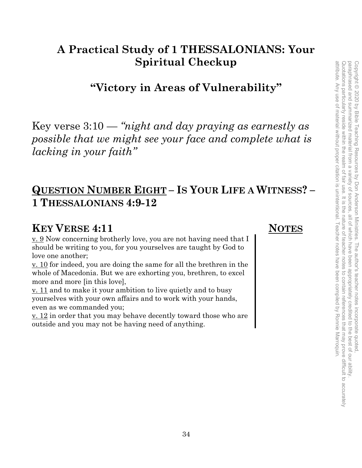## **A Practical Study of 1 THESSALONIANS: Your Spiritual Checkup**

**"Victory in Areas of Vulnerability"**

Key verse 3:10 — *"night and day praying as earnestly as possible that we might see your face and complete what is lacking in your faith"*

### **QUESTION NUMBER EIGHT – IS YOUR LIFE A WITNESS? – 1 THESSALONIANS 4:9-12**

### **KEY VERSE 4:11** NOTES

v. 9 Now concerning brotherly love, you are not having need that I should be writing to you, for you yourselves are taught by God to love one another;

v. 10 for indeed, you are doing the same for all the brethren in the whole of Macedonia. But we are exhorting you, brethren, to excel more and more [in this love],

v. 11 and to make it your ambition to live quietly and to busy yourselves with your own affairs and to work with your hands, even as we commanded you;

v. 12 in order that you may behave decently toward those who are outside and you may not be having need of anything.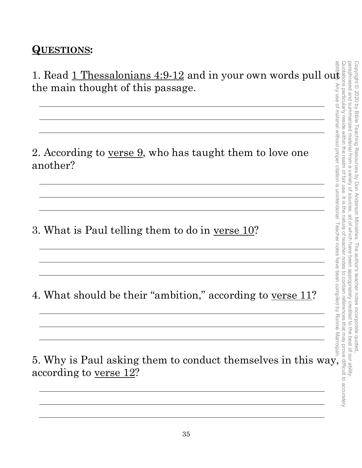### **QUESTIONS:**

1. Read 1 Thessalonians 4:9-12 and in your own words pull out the main thought of this passage.

2. According to <u>verse 9</u>, who has taught them to love one another?

3. What is Paul telling them to do in <u>verse 10</u>?

4. What should be their "ambition," according to <u>verse 11</u>?

5. Why is Paul asking them to conduct themselves in this way, according to <u>verse 12</u>?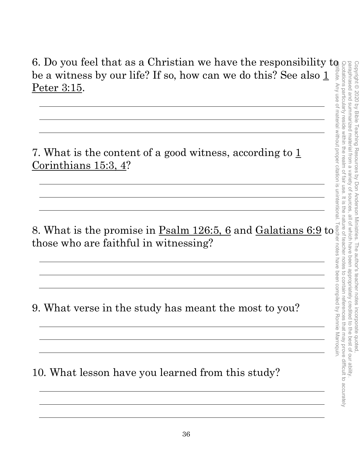### 6. Do you feel that as a Christian we have the responsibility to be a witness by our life? If so, how can we do this? See also  $\underline{1}$ Peter 3:15.

7. What is the content of a good witness, according to  $1/2$ Corinthians 15:3, 4?

8. What is the promise in <u>Psalm 126:5, 6</u> and <u>Galatians 6:9</u> to those who are faithful in witnessing?

9. What verse in the study has meant the most to you?

10. What lesson have you learned from this study?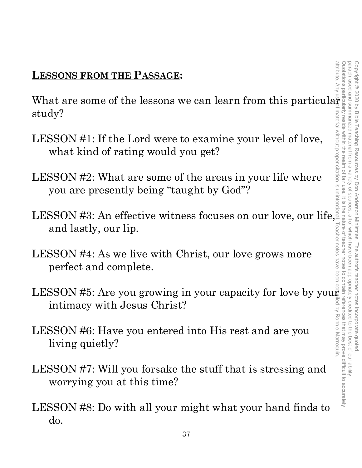### **LESSONS FROM THE PASSAGE:**

study?

- LESSON #1: If the Lord were to examine your level of love, what kind of rating would you get?
- LESSON #2: What are some of the areas in your life where you are presently being "taught by God"?
- **LESSONS FROM THE PASSAGE:**<br>
What are some of the lessons we can learn from this particular<br>
study?<br>
LESSON #1: If the Lord were to examine your level of love,<br>
what kind of rating would you get?<br>
LESSON #2: What are some LESSON #3: An effective witness focuses on our love, our life, and lastly, our lip.
- LESSON #4: As we live with Christ, our love grows more perfect and complete.
- LESSON #5: Are you growing in your capacity for love by your intimacy with Jesus Christ?
- LESSON #6: Have you entered into His rest and are you living quietly?
- LESSON #7: Will you forsake the stuff that is stressing and worrying you at this time?
- LESSON #8: Do with all your might what your hand finds to do.